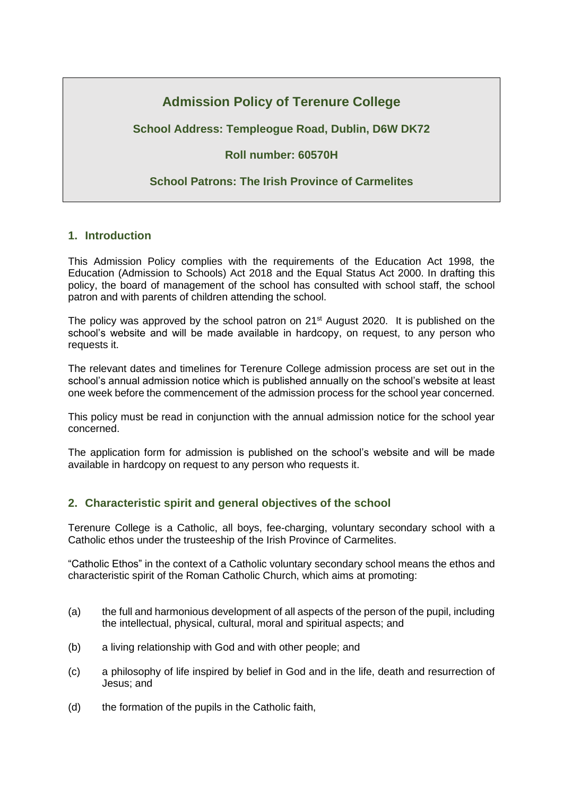# **Admission Policy of Terenure College**

# **School Address: Templeogue Road, Dublin, D6W DK72**

# **Roll number: 60570H**

# **School Patrons: The Irish Province of Carmelites**

### **1. Introduction**

This Admission Policy complies with the requirements of the Education Act 1998, the Education (Admission to Schools) Act 2018 and the Equal Status Act 2000. In drafting this policy, the board of management of the school has consulted with school staff, the school patron and with parents of children attending the school.

The policy was approved by the school patron on 21<sup>st</sup> August 2020. It is published on the school's website and will be made available in hardcopy, on request, to any person who requests it.

The relevant dates and timelines for Terenure College admission process are set out in the school's annual admission notice which is published annually on the school's website at least one week before the commencement of the admission process for the school year concerned.

This policy must be read in conjunction with the annual admission notice for the school year concerned.

The application form for admission is published on the school's website and will be made available in hardcopy on request to any person who requests it.

# **2. Characteristic spirit and general objectives of the school**

Terenure College is a Catholic, all boys, fee-charging, voluntary secondary school with a Catholic ethos under the trusteeship of the Irish Province of Carmelites.

"Catholic Ethos" in the context of a Catholic voluntary secondary school means the ethos and characteristic spirit of the Roman Catholic Church, which aims at promoting:

- (a) the full and harmonious development of all aspects of the person of the pupil, including the intellectual, physical, cultural, moral and spiritual aspects; and
- (b) a living relationship with God and with other people; and
- (c) a philosophy of life inspired by belief in God and in the life, death and resurrection of Jesus; and
- (d) the formation of the pupils in the Catholic faith,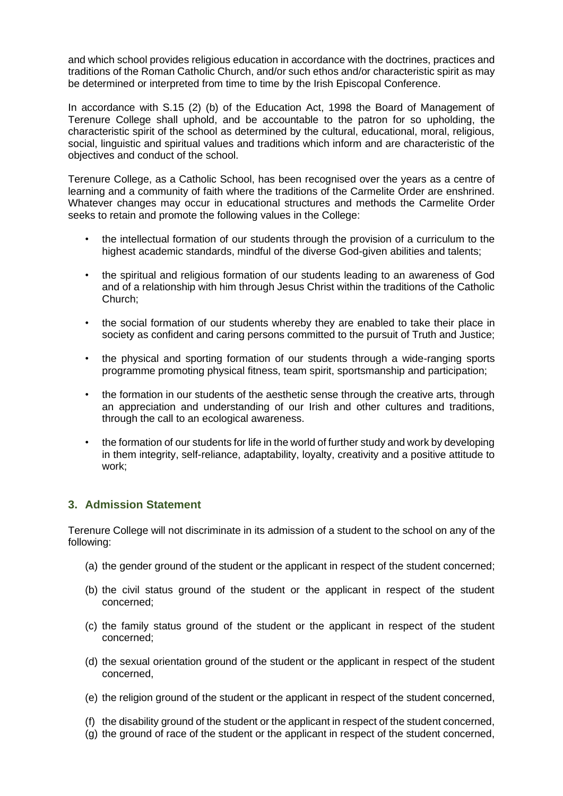and which school provides religious education in accordance with the doctrines, practices and traditions of the Roman Catholic Church, and/or such ethos and/or characteristic spirit as may be determined or interpreted from time to time by the Irish Episcopal Conference.

In accordance with S.15 (2) (b) of the Education Act, 1998 the Board of Management of Terenure College shall uphold, and be accountable to the patron for so upholding, the characteristic spirit of the school as determined by the cultural, educational, moral, religious, social, linguistic and spiritual values and traditions which inform and are characteristic of the objectives and conduct of the school.

Terenure College, as a Catholic School, has been recognised over the years as a centre of learning and a community of faith where the traditions of the Carmelite Order are enshrined. Whatever changes may occur in educational structures and methods the Carmelite Order seeks to retain and promote the following values in the College:

- the intellectual formation of our students through the provision of a curriculum to the highest academic standards, mindful of the diverse God-given abilities and talents;
- the spiritual and religious formation of our students leading to an awareness of God and of a relationship with him through Jesus Christ within the traditions of the Catholic Church;
- the social formation of our students whereby they are enabled to take their place in society as confident and caring persons committed to the pursuit of Truth and Justice;
- the physical and sporting formation of our students through a wide-ranging sports programme promoting physical fitness, team spirit, sportsmanship and participation;
- the formation in our students of the aesthetic sense through the creative arts, through an appreciation and understanding of our Irish and other cultures and traditions, through the call to an ecological awareness.
- the formation of our students for life in the world of further study and work by developing in them integrity, self-reliance, adaptability, loyalty, creativity and a positive attitude to work;

# **3. Admission Statement**

Terenure College will not discriminate in its admission of a student to the school on any of the following:

- (a) the gender ground of the student or the applicant in respect of the student concerned;
- (b) the civil status ground of the student or the applicant in respect of the student concerned;
- (c) the family status ground of the student or the applicant in respect of the student concerned;
- (d) the sexual orientation ground of the student or the applicant in respect of the student concerned,
- (e) the religion ground of the student or the applicant in respect of the student concerned,
- (f) the disability ground of the student or the applicant in respect of the student concerned,
- (g) the ground of race of the student or the applicant in respect of the student concerned,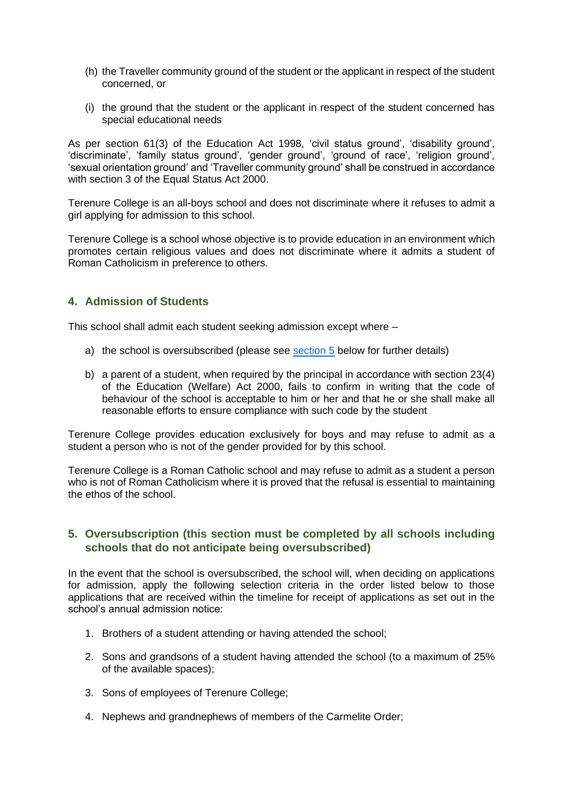- (h) the Traveller community ground of the student or the applicant in respect of the student concerned, or
- (i) the ground that the student or the applicant in respect of the student concerned has special educational needs

As per section 61(3) of the Education Act 1998, 'civil status ground', 'disability ground', 'discriminate', 'family status ground', 'gender ground', 'ground of race', 'religion ground', 'sexual orientation ground' and 'Traveller community ground' shall be construed in accordance with section 3 of the Equal Status Act 2000.

Terenure College is an all-boys school and does not discriminate where it refuses to admit a girl applying for admission to this school.

Terenure College is a school whose objective is to provide education in an environment which promotes certain religious values and does not discriminate where it admits a student of Roman Catholicism in preference to others.

### **4. Admission of Students**

This school shall admit each student seeking admission except where –

- a) the school is oversubscribed (please see [section 5](#page-2-0) below for further details)
- b) a parent of a student, when required by the principal in accordance with section 23(4) of the Education (Welfare) Act 2000, fails to confirm in writing that the code of behaviour of the school is acceptable to him or her and that he or she shall make all reasonable efforts to ensure compliance with such code by the student

Terenure College provides education exclusively for boys and may refuse to admit as a student a person who is not of the gender provided for by this school.

Terenure College is a Roman Catholic school and may refuse to admit as a student a person who is not of Roman Catholicism where it is proved that the refusal is essential to maintaining the ethos of the school.

# <span id="page-2-0"></span>**5. Oversubscription (this section must be completed by all schools including schools that do not anticipate being oversubscribed)**

In the event that the school is oversubscribed, the school will, when deciding on applications for admission, apply the following selection criteria in the order listed below to those applications that are received within the timeline for receipt of applications as set out in the school's annual admission notice:

- 1. Brothers of a student attending or having attended the school;
- 2. Sons and grandsons of a student having attended the school (to a maximum of 25% of the available spaces);
- 3. Sons of employees of Terenure College;
- 4. Nephews and grandnephews of members of the Carmelite Order;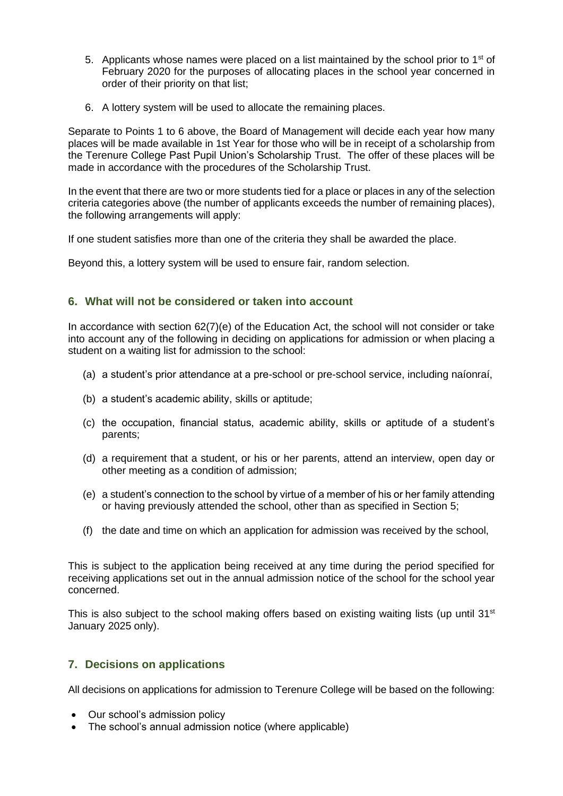- 5. Applicants whose names were placed on a list maintained by the school prior to  $1<sup>st</sup>$  of February 2020 for the purposes of allocating places in the school year concerned in order of their priority on that list;
- 6. A lottery system will be used to allocate the remaining places.

Separate to Points 1 to 6 above, the Board of Management will decide each year how many places will be made available in 1st Year for those who will be in receipt of a scholarship from the Terenure College Past Pupil Union's Scholarship Trust. The offer of these places will be made in accordance with the procedures of the Scholarship Trust.

In the event that there are two or more students tied for a place or places in any of the selection criteria categories above (the number of applicants exceeds the number of remaining places), the following arrangements will apply:

If one student satisfies more than one of the criteria they shall be awarded the place.

Beyond this, a lottery system will be used to ensure fair, random selection.

### **6. What will not be considered or taken into account**

In accordance with section 62(7)(e) of the Education Act, the school will not consider or take into account any of the following in deciding on applications for admission or when placing a student on a waiting list for admission to the school:

- (a) a student's prior attendance at a pre-school or pre-school service, including naíonraí,
- (b) a student's academic ability, skills or aptitude;
- (c) the occupation, financial status, academic ability, skills or aptitude of a student's parents;
- (d) a requirement that a student, or his or her parents, attend an interview, open day or other meeting as a condition of admission;
- (e) a student's connection to the school by virtue of a member of his or her family attending or having previously attended the school, other than as specified in Section 5;
- (f) the date and time on which an application for admission was received by the school,

This is subject to the application being received at any time during the period specified for receiving applications set out in the annual admission notice of the school for the school year concerned.

This is also subject to the school making offers based on existing waiting lists (up until  $31<sup>st</sup>$ January 2025 only).

### **7. Decisions on applications**

All decisions on applications for admission to Terenure College will be based on the following:

- Our school's admission policy
- The school's annual admission notice (where applicable)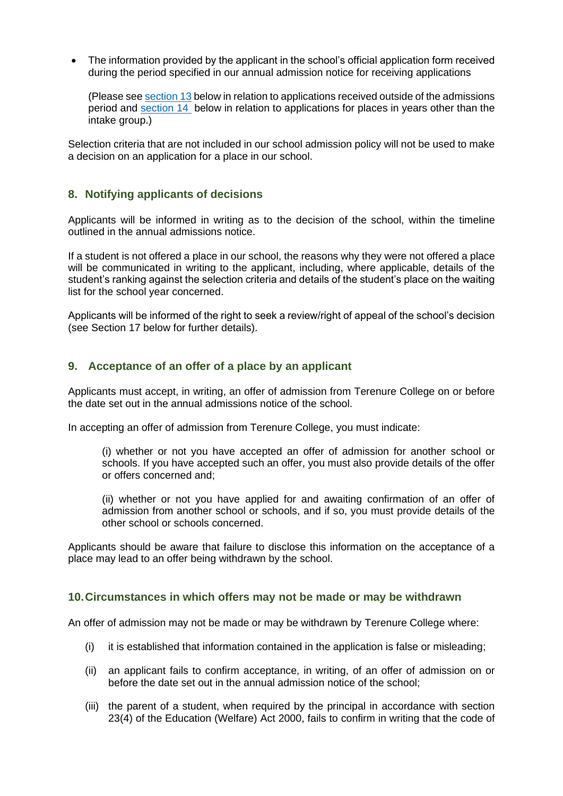• The information provided by the applicant in the school's official application form received during the period specified in our annual admission notice for receiving applications

(Please see [section 13](#page-6-0) below in relation to applications received outside of the admissions period and [section 14](#page-8-0) below in relation to applications for places in years other than the intake group.)

Selection criteria that are not included in our school admission policy will not be used to make a decision on an application for a place in our school.

### **8. Notifying applicants of decisions**

Applicants will be informed in writing as to the decision of the school, within the timeline outlined in the annual admissions notice.

If a student is not offered a place in our school, the reasons why they were not offered a place will be communicated in writing to the applicant, including, where applicable, details of the student's ranking against the selection criteria and details of the student's place on the waiting list for the school year concerned.

Applicants will be informed of the right to seek a review/right of appeal of the school's decision (see Section 17 below for further details).

### **9. Acceptance of an offer of a place by an applicant**

Applicants must accept, in writing, an offer of admission from Terenure College on or before the date set out in the annual admissions notice of the school.

In accepting an offer of admission from Terenure College, you must indicate:

(i) whether or not you have accepted an offer of admission for another school or schools. If you have accepted such an offer, you must also provide details of the offer or offers concerned and;

(ii) whether or not you have applied for and awaiting confirmation of an offer of admission from another school or schools, and if so, you must provide details of the other school or schools concerned.

Applicants should be aware that failure to disclose this information on the acceptance of a place may lead to an offer being withdrawn by the school.

#### **10.Circumstances in which offers may not be made or may be withdrawn**

An offer of admission may not be made or may be withdrawn by Terenure College where:

- (i) it is established that information contained in the application is false or misleading;
- (ii) an applicant fails to confirm acceptance, in writing, of an offer of admission on or before the date set out in the annual admission notice of the school;
- (iii) the parent of a student, when required by the principal in accordance with section 23(4) of the Education (Welfare) Act 2000, fails to confirm in writing that the code of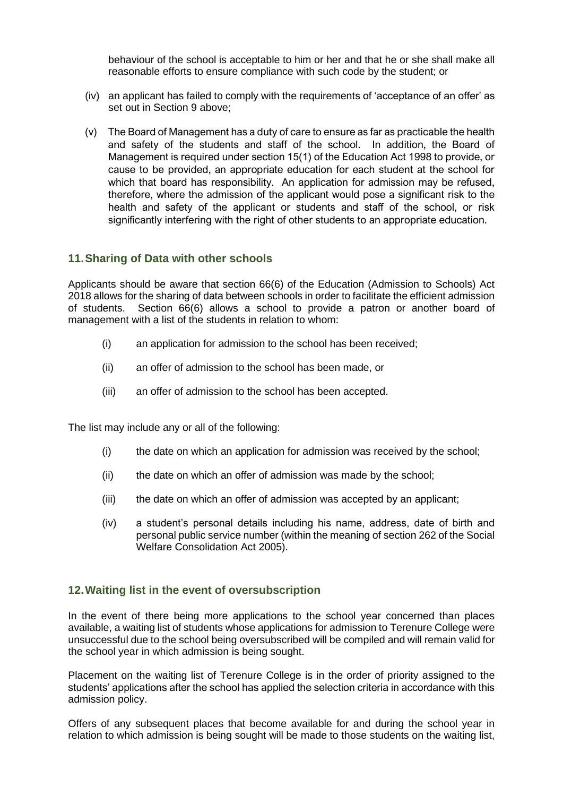behaviour of the school is acceptable to him or her and that he or she shall make all reasonable efforts to ensure compliance with such code by the student; or

- (iv) an applicant has failed to comply with the requirements of 'acceptance of an offer' as set out in Section 9 above;
- (v) The Board of Management has a duty of care to ensure as far as practicable the health and safety of the students and staff of the school. In addition, the Board of Management is required under section 15(1) of the Education Act 1998 to provide, or cause to be provided, an appropriate education for each student at the school for which that board has responsibility. An application for admission may be refused, therefore, where the admission of the applicant would pose a significant risk to the health and safety of the applicant or students and staff of the school, or risk significantly interfering with the right of other students to an appropriate education.

### **11.Sharing of Data with other schools**

Applicants should be aware that section 66(6) of the Education (Admission to Schools) Act 2018 allows for the sharing of data between schools in order to facilitate the efficient admission of students. Section 66(6) allows a school to provide a patron or another board of management with a list of the students in relation to whom:

- (i) an application for admission to the school has been received;
- (ii) an offer of admission to the school has been made, or
- (iii) an offer of admission to the school has been accepted.

The list may include any or all of the following:

- (i) the date on which an application for admission was received by the school;
- (ii) the date on which an offer of admission was made by the school;
- (iii) the date on which an offer of admission was accepted by an applicant;
- (iv) a student's personal details including his name, address, date of birth and personal public service number (within the meaning of section 262 of the Social Welfare Consolidation Act 2005).

# **12.Waiting list in the event of oversubscription**

In the event of there being more applications to the school year concerned than places available, a waiting list of students whose applications for admission to Terenure College were unsuccessful due to the school being oversubscribed will be compiled and will remain valid for the school year in which admission is being sought.

Placement on the waiting list of Terenure College is in the order of priority assigned to the students' applications after the school has applied the selection criteria in accordance with this admission policy.

Offers of any subsequent places that become available for and during the school year in relation to which admission is being sought will be made to those students on the waiting list,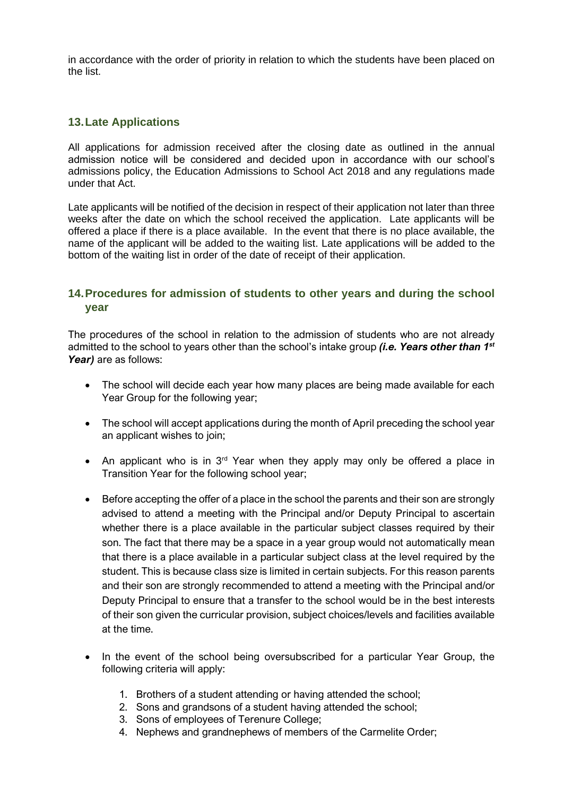in accordance with the order of priority in relation to which the students have been placed on the list.

### **13.Late Applications**

All applications for admission received after the closing date as outlined in the annual admission notice will be considered and decided upon in accordance with our school's admissions policy, the Education Admissions to School Act 2018 and any regulations made under that Act.

Late applicants will be notified of the decision in respect of their application not later than three weeks after the date on which the school received the application. Late applicants will be offered a place if there is a place available. In the event that there is no place available, the name of the applicant will be added to the waiting list. Late applications will be added to the bottom of the waiting list in order of the date of receipt of their application.

# <span id="page-6-0"></span>**14.Procedures for admission of students to other years and during the school year**

The procedures of the school in relation to the admission of students who are not already admitted to the school to years other than the school's intake group *(i.e. Years other than 1st Year)* are as follows:

- The school will decide each year how many places are being made available for each Year Group for the following year;
- The school will accept applications during the month of April preceding the school year an applicant wishes to join;
- An applicant who is in  $3<sup>rd</sup>$  Year when they apply may only be offered a place in Transition Year for the following school year;
- Before accepting the offer of a place in the school the parents and their son are strongly advised to attend a meeting with the Principal and/or Deputy Principal to ascertain whether there is a place available in the particular subject classes required by their son. The fact that there may be a space in a year group would not automatically mean that there is a place available in a particular subject class at the level required by the student. This is because class size is limited in certain subjects. For this reason parents and their son are strongly recommended to attend a meeting with the Principal and/or Deputy Principal to ensure that a transfer to the school would be in the best interests of their son given the curricular provision, subject choices/levels and facilities available at the time.
- In the event of the school being oversubscribed for a particular Year Group, the following criteria will apply:
	- 1. Brothers of a student attending or having attended the school;
	- 2. Sons and grandsons of a student having attended the school;
	- 3. Sons of employees of Terenure College;
	- 4. Nephews and grandnephews of members of the Carmelite Order;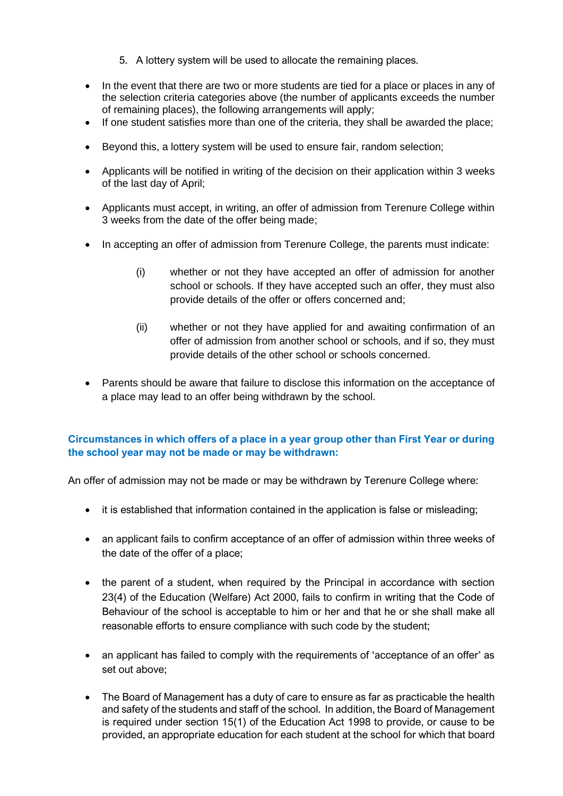- 5. A lottery system will be used to allocate the remaining places.
- In the event that there are two or more students are tied for a place or places in any of the selection criteria categories above (the number of applicants exceeds the number of remaining places), the following arrangements will apply;
- If one student satisfies more than one of the criteria, they shall be awarded the place;
- Beyond this, a lottery system will be used to ensure fair, random selection;
- Applicants will be notified in writing of the decision on their application within 3 weeks of the last day of April;
- Applicants must accept, in writing, an offer of admission from Terenure College within 3 weeks from the date of the offer being made;
- In accepting an offer of admission from Terenure College, the parents must indicate:
	- (i) whether or not they have accepted an offer of admission for another school or schools. If they have accepted such an offer, they must also provide details of the offer or offers concerned and;
	- (ii) whether or not they have applied for and awaiting confirmation of an offer of admission from another school or schools, and if so, they must provide details of the other school or schools concerned.
- Parents should be aware that failure to disclose this information on the acceptance of a place may lead to an offer being withdrawn by the school.

# **Circumstances in which offers of a place in a year group other than First Year or during the school year may not be made or may be withdrawn:**

An offer of admission may not be made or may be withdrawn by Terenure College where:

- it is established that information contained in the application is false or misleading:
- an applicant fails to confirm acceptance of an offer of admission within three weeks of the date of the offer of a place;
- the parent of a student, when required by the Principal in accordance with section 23(4) of the Education (Welfare) Act 2000, fails to confirm in writing that the Code of Behaviour of the school is acceptable to him or her and that he or she shall make all reasonable efforts to ensure compliance with such code by the student;
- an applicant has failed to comply with the requirements of 'acceptance of an offer' as set out above;
- The Board of Management has a duty of care to ensure as far as practicable the health and safety of the students and staff of the school. In addition, the Board of Management is required under section 15(1) of the Education Act 1998 to provide, or cause to be provided, an appropriate education for each student at the school for which that board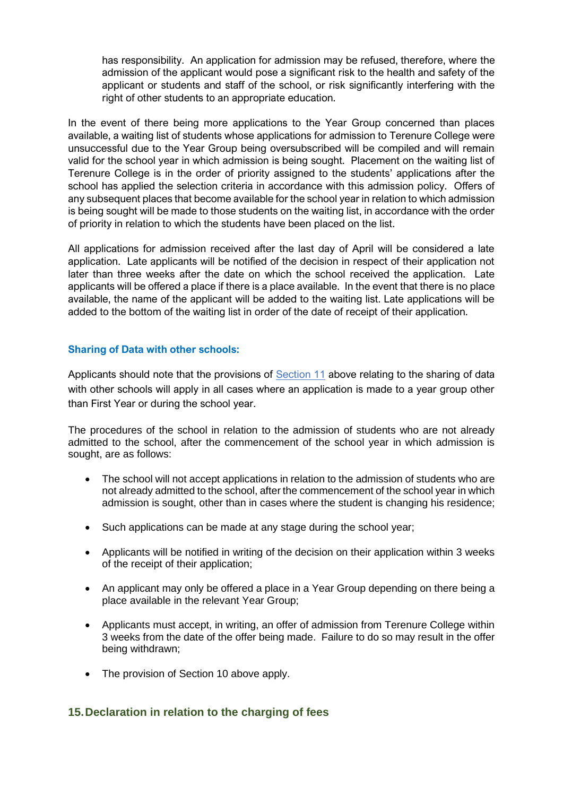has responsibility. An application for admission may be refused, therefore, where the admission of the applicant would pose a significant risk to the health and safety of the applicant or students and staff of the school, or risk significantly interfering with the right of other students to an appropriate education.

In the event of there being more applications to the Year Group concerned than places available, a waiting list of students whose applications for admission to Terenure College were unsuccessful due to the Year Group being oversubscribed will be compiled and will remain valid for the school year in which admission is being sought. Placement on the waiting list of Terenure College is in the order of priority assigned to the students' applications after the school has applied the selection criteria in accordance with this admission policy. Offers of any subsequent places that become available for the school year in relation to which admission is being sought will be made to those students on the waiting list, in accordance with the order of priority in relation to which the students have been placed on the list.

All applications for admission received after the last day of April will be considered a late application. Late applicants will be notified of the decision in respect of their application not later than three weeks after the date on which the school received the application. Late applicants will be offered a place if there is a place available. In the event that there is no place available, the name of the applicant will be added to the waiting list. Late applications will be added to the bottom of the waiting list in order of the date of receipt of their application.

### **Sharing of Data with other schools:**

Applicants should note that the provisions of **Section 11** above relating to the sharing of data with other schools will apply in all cases where an application is made to a year group other than First Year or during the school year.

The procedures of the school in relation to the admission of students who are not already admitted to the school, after the commencement of the school year in which admission is sought, are as follows:

- The school will not accept applications in relation to the admission of students who are not already admitted to the school, after the commencement of the school year in which admission is sought, other than in cases where the student is changing his residence;
- Such applications can be made at any stage during the school year;
- Applicants will be notified in writing of the decision on their application within 3 weeks of the receipt of their application;
- An applicant may only be offered a place in a Year Group depending on there being a place available in the relevant Year Group;
- Applicants must accept, in writing, an offer of admission from Terenure College within 3 weeks from the date of the offer being made. Failure to do so may result in the offer being withdrawn;
- The provision of Section 10 above apply.

# <span id="page-8-0"></span>**15.Declaration in relation to the charging of fees**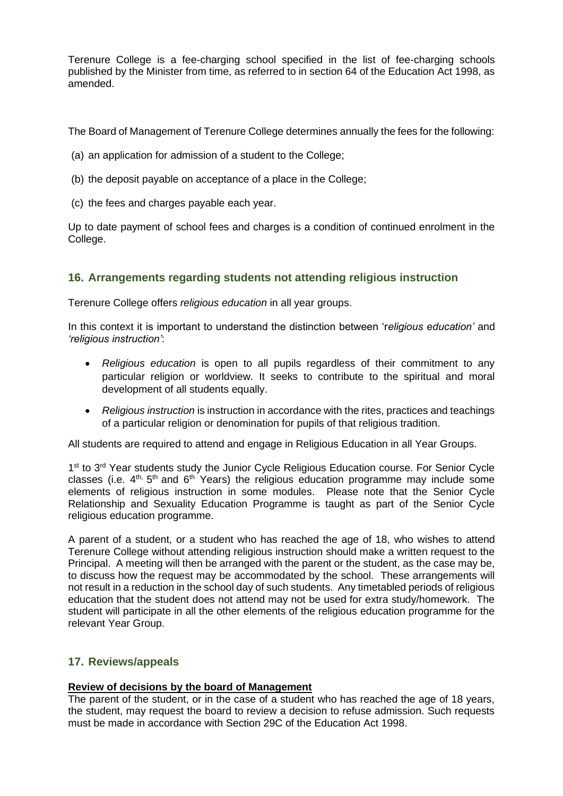Terenure College is a fee-charging school specified in the list of fee-charging schools published by the Minister from time, as referred to in section 64 of the Education Act 1998, as amended.

The Board of Management of Terenure College determines annually the fees for the following:

- (a) an application for admission of a student to the College:
- (b) the deposit payable on acceptance of a place in the College;
- (c) the fees and charges payable each year.

Up to date payment of school fees and charges is a condition of continued enrolment in the College.

# **16. Arrangements regarding students not attending religious instruction**

Terenure College offers *religious education* in all year groups.

In this context it is important to understand the distinction between 'r*eligious education'* and *'religious instruction'*:

- *Religious education* is open to all pupils regardless of their commitment to any particular religion or worldview. It seeks to contribute to the spiritual and moral development of all students equally.
- *Religious instruction* is instruction in accordance with the rites, practices and teachings of a particular religion or denomination for pupils of that religious tradition.

All students are required to attend and engage in Religious Education in all Year Groups.

1<sup>st</sup> to 3<sup>rd</sup> Year students study the Junior Cycle Religious Education course. For Senior Cycle classes (i.e.  $4<sup>th</sup>$ ,  $5<sup>th</sup>$  and  $6<sup>th</sup>$  Years) the religious education programme may include some elements of religious instruction in some modules. Please note that the Senior Cycle Relationship and Sexuality Education Programme is taught as part of the Senior Cycle religious education programme.

A parent of a student, or a student who has reached the age of 18, who wishes to attend Terenure College without attending religious instruction should make a written request to the Principal. A meeting will then be arranged with the parent or the student, as the case may be, to discuss how the request may be accommodated by the school. These arrangements will not result in a reduction in the school day of such students. Any timetabled periods of religious education that the student does not attend may not be used for extra study/homework. The student will participate in all the other elements of the religious education programme for the relevant Year Group.

# **17. Reviews/appeals**

### **Review of decisions by the board of Management**

The parent of the student, or in the case of a student who has reached the age of 18 years, the student, may request the board to review a decision to refuse admission. Such requests must be made in accordance with Section 29C of the Education Act 1998.